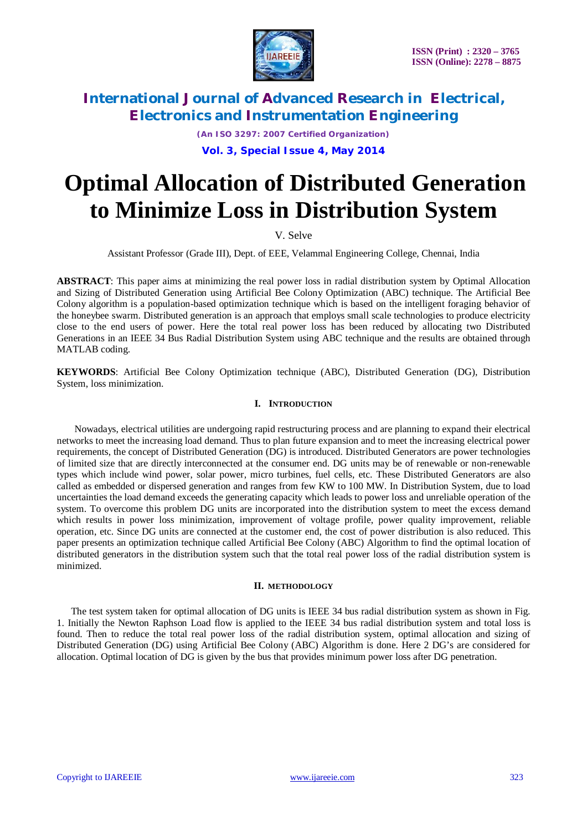

*(An ISO 3297: 2007 Certified Organization)*

### **Vol. 3, Special Issue 4, May 2014**

# **Optimal Allocation of Distributed Generation to Minimize Loss in Distribution System**

V. Selve

Assistant Professor (Grade III), Dept. of EEE, Velammal Engineering College, Chennai, India

**ABSTRACT**: This paper aims at minimizing the real power loss in radial distribution system by Optimal Allocation and Sizing of Distributed Generation using Artificial Bee Colony Optimization (ABC) technique. The Artificial Bee Colony algorithm is a population-based optimization technique which is based on the intelligent foraging behavior of the honeybee swarm. Distributed generation is an approach that employs small scale technologies to produce electricity close to the end users of power. Here the total real power loss has been reduced by allocating two Distributed Generations in an IEEE 34 Bus Radial Distribution System using ABC technique and the results are obtained through MATLAB coding.

**KEYWORDS**: Artificial Bee Colony Optimization technique (ABC), Distributed Generation (DG), Distribution System, loss minimization.

#### **I. INTRODUCTION**

Nowadays, electrical utilities are undergoing rapid restructuring process and are planning to expand their electrical networks to meet the increasing load demand. Thus to plan future expansion and to meet the increasing electrical power requirements, the concept of Distributed Generation (DG) is introduced. Distributed Generators are power technologies of limited size that are directly interconnected at the consumer end. DG units may be of renewable or non-renewable types which include wind power, solar power, micro turbines, fuel cells, etc. These Distributed Generators are also called as embedded or dispersed generation and ranges from few KW to 100 MW. In Distribution System, due to load uncertainties the load demand exceeds the generating capacity which leads to power loss and unreliable operation of the system. To overcome this problem DG units are incorporated into the distribution system to meet the excess demand which results in power loss minimization, improvement of voltage profile, power quality improvement, reliable operation, etc. Since DG units are connected at the customer end, the cost of power distribution is also reduced. This paper presents an optimization technique called Artificial Bee Colony (ABC) Algorithm to find the optimal location of distributed generators in the distribution system such that the total real power loss of the radial distribution system is minimized.

#### **II. METHODOLOGY**

The test system taken for optimal allocation of DG units is IEEE 34 bus radial distribution system as shown in Fig. 1. Initially the Newton Raphson Load flow is applied to the IEEE 34 bus radial distribution system and total loss is found. Then to reduce the total real power loss of the radial distribution system, optimal allocation and sizing of Distributed Generation (DG) using Artificial Bee Colony (ABC) Algorithm is done. Here 2 DG's are considered for allocation. Optimal location of DG is given by the bus that provides minimum power loss after DG penetration.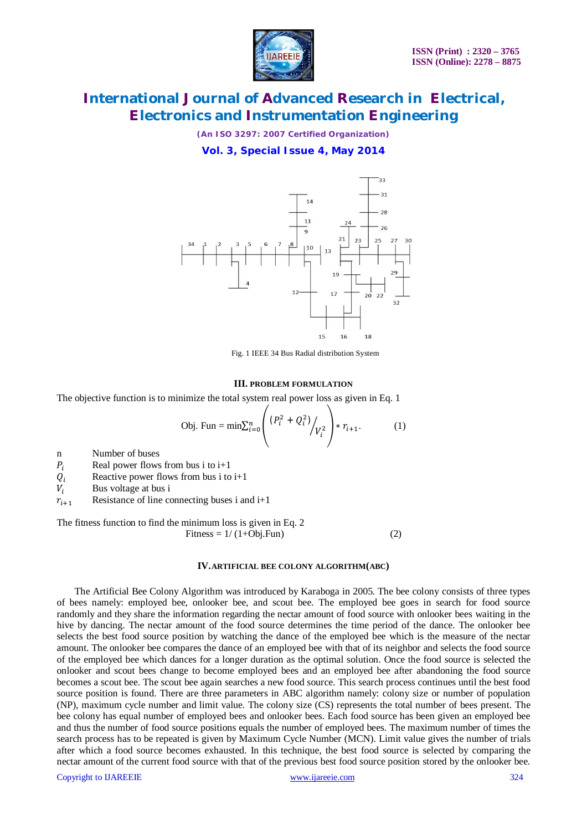

*(An ISO 3297: 2007 Certified Organization)*

**Vol. 3, Special Issue 4, May 2014**



Fig. 1 IEEE 34 Bus Radial distribution System

#### **III. PROBLEM FORMULATION**

The objective function is to minimize the total system real power loss as given in Eq. 1

Obj. Fun = min
$$
\sum_{i=0}^{n} \left( \frac{(P_i^2 + Q_i^2)}{V_i^2} \right) * r_{i+1}.
$$
 (1)

n Number of buses

 $P_i$  Real power flows from bus i to i+1

 $Q_i$  Reactive power flows from bus i to i+1<br> $V_i$  Bus voltage at bus i

Bus voltage at bus i

 $r_{i+1}$  Resistance of line connecting buses i and i+1

The fitness function to find the minimum loss is given in Eq. 2  $Fitness = 1/(1+Obj.Fun)$  (2)

#### **IV.ARTIFICIAL BEE COLONY ALGORITHM(ABC)**

The Artificial Bee Colony Algorithm was introduced by Karaboga in 2005. The bee colony consists of three types of bees namely: employed bee, onlooker bee, and scout bee. The employed bee goes in search for food source randomly and they share the information regarding the nectar amount of food source with onlooker bees waiting in the hive by dancing. The nectar amount of the food source determines the time period of the dance. The onlooker bee selects the best food source position by watching the dance of the employed bee which is the measure of the nectar amount. The onlooker bee compares the dance of an employed bee with that of its neighbor and selects the food source of the employed bee which dances for a longer duration as the optimal solution. Once the food source is selected the onlooker and scout bees change to become employed bees and an employed bee after abandoning the food source becomes a scout bee. The scout bee again searches a new food source. This search process continues until the best food source position is found. There are three parameters in ABC algorithm namely: colony size or number of population (NP), maximum cycle number and limit value. The colony size (CS) represents the total number of bees present. The bee colony has equal number of employed bees and onlooker bees. Each food source has been given an employed bee and thus the number of food source positions equals the number of employed bees. The maximum number of times the search process has to be repeated is given by Maximum Cycle Number (MCN). Limit value gives the number of trials after which a food source becomes exhausted. In this technique, the best food source is selected by comparing the nectar amount of the current food source with that of the previous best food source position stored by the onlooker bee.

Copyright to IJAREEIE www.ijareeie.com 324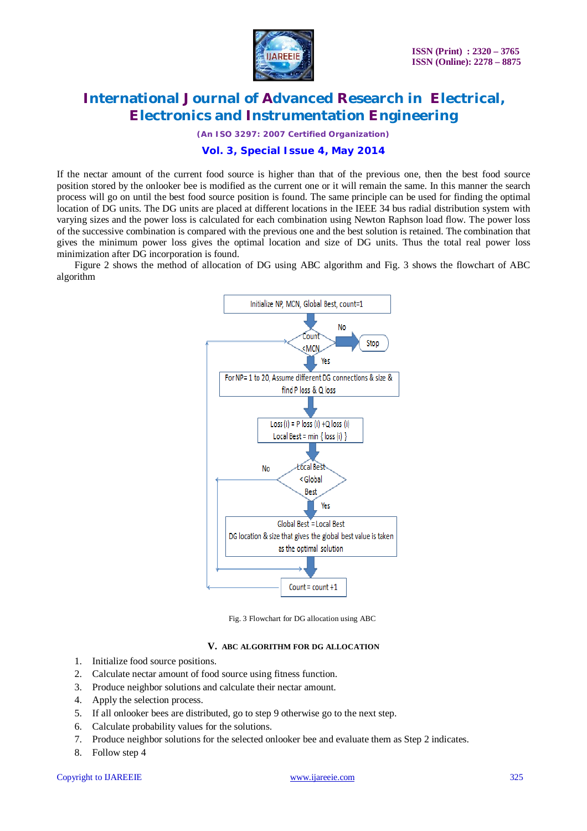

*(An ISO 3297: 2007 Certified Organization)*

### **Vol. 3, Special Issue 4, May 2014**

If the nectar amount of the current food source is higher than that of the previous one, then the best food source position stored by the onlooker bee is modified as the current one or it will remain the same. In this manner the search process will go on until the best food source position is found. The same principle can be used for finding the optimal location of DG units. The DG units are placed at different locations in the IEEE 34 bus radial distribution system with varying sizes and the power loss is calculated for each combination using Newton Raphson load flow. The power loss of the successive combination is compared with the previous one and the best solution is retained. The combination that gives the minimum power loss gives the optimal location and size of DG units. Thus the total real power loss minimization after DG incorporation is found.

Figure 2 shows the method of allocation of DG using ABC algorithm and Fig. 3 shows the flowchart of ABC algorithm



Fig. 3 Flowchart for DG allocation using ABC

#### **V. ABC ALGORITHM FOR DG ALLOCATION**

- 1. Initialize food source positions.
- 2. Calculate nectar amount of food source using fitness function.
- 3. Produce neighbor solutions and calculate their nectar amount.
- 4. Apply the selection process.
- 5. If all onlooker bees are distributed, go to step 9 otherwise go to the next step.
- 6. Calculate probability values for the solutions.
- 7. Produce neighbor solutions for the selected onlooker bee and evaluate them as Step 2 indicates.
- 8. Follow step 4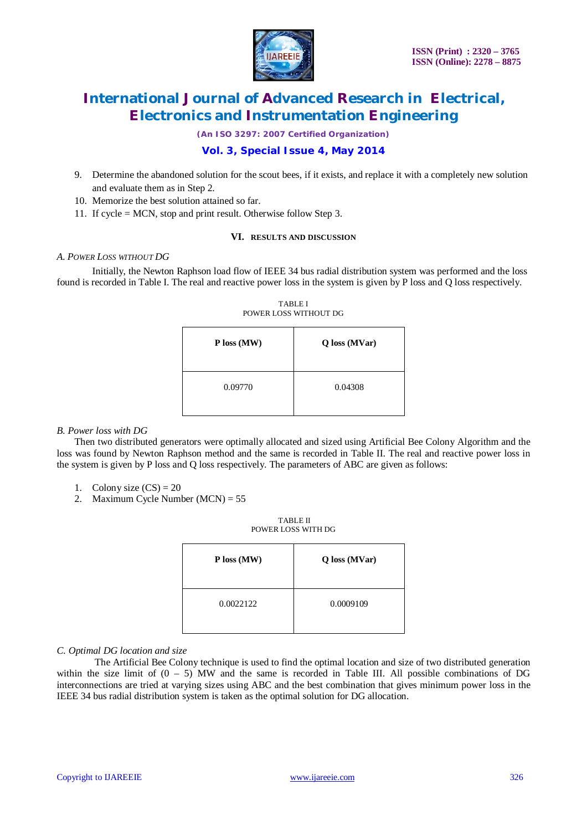

*(An ISO 3297: 2007 Certified Organization)*

### **Vol. 3, Special Issue 4, May 2014**

- 9. Determine the abandoned solution for the scout bees, if it exists, and replace it with a completely new solution and evaluate them as in Step 2.
- 10. Memorize the best solution attained so far.
- 11. If cycle = MCN, stop and print result. Otherwise follow Step 3.

#### **VI. RESULTS AND DISCUSSION**

#### *A. POWER LOSS WITHOUT DG*

Initially, the Newton Raphson load flow of IEEE 34 bus radial distribution system was performed and the loss found is recorded in Table I. The real and reactive power loss in the system is given by P loss and Q loss respectively.

| $P$ loss (MW) | Q loss (MVar) |
|---------------|---------------|
| 0.09770       | 0.04308       |

#### TABLE I POWER LOSS WITHOUT DG

#### *B. Power loss with DG*

Then two distributed generators were optimally allocated and sized using Artificial Bee Colony Algorithm and the loss was found by Newton Raphson method and the same is recorded in Table II. The real and reactive power loss in the system is given by P loss and Q loss respectively. The parameters of ABC are given as follows:

- 1. Colony size  $(CS) = 20$
- 2. Maximum Cycle Number (MCN) = 55

TABLE II POWER LOSS WITH DG

| $P$ loss (MW) | Q loss (MVar) |
|---------------|---------------|
| 0.0022122     | 0.0009109     |

#### *C. Optimal DG location and size*

The Artificial Bee Colony technique is used to find the optimal location and size of two distributed generation within the size limit of  $(0 - 5)$  MW and the same is recorded in Table III. All possible combinations of DG interconnections are tried at varying sizes using ABC and the best combination that gives minimum power loss in the IEEE 34 bus radial distribution system is taken as the optimal solution for DG allocation.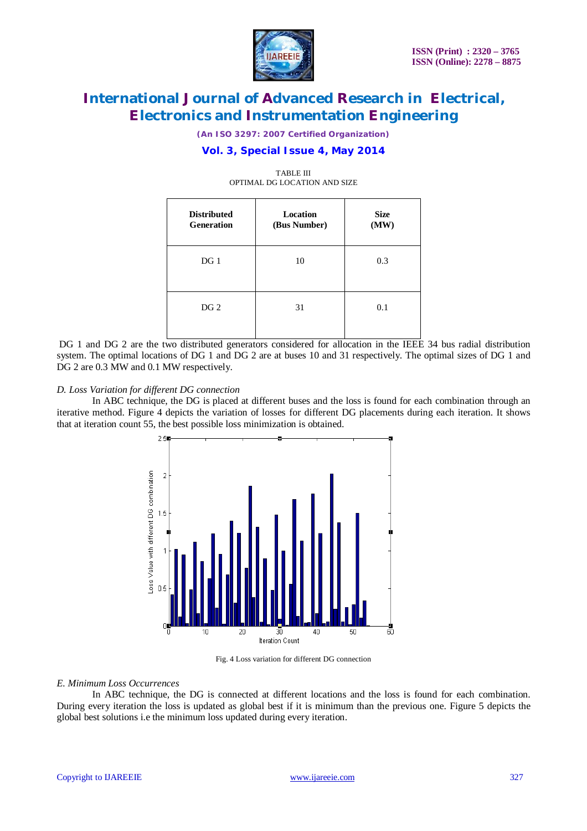

*(An ISO 3297: 2007 Certified Organization)*

### **Vol. 3, Special Issue 4, May 2014**

| <b>Distributed</b><br><b>Generation</b> | <b>Location</b><br>(Bus Number) | <b>Size</b><br>(MW) |
|-----------------------------------------|---------------------------------|---------------------|
| DG <sub>1</sub>                         | 10                              | 0.3                 |
| DG <sub>2</sub>                         | 31                              | 0.1                 |

TABLE III OPTIMAL DG LOCATION AND SIZE

DG 1 and DG 2 are the two distributed generators considered for allocation in the IEEE 34 bus radial distribution system. The optimal locations of DG 1 and DG 2 are at buses 10 and 31 respectively. The optimal sizes of DG 1 and DG 2 are 0.3 MW and 0.1 MW respectively.

#### *D. Loss Variation for different DG connection*

In ABC technique, the DG is placed at different buses and the loss is found for each combination through an iterative method. Figure 4 depicts the variation of losses for different DG placements during each iteration. It shows that at iteration count 55, the best possible loss minimization is obtained.



Fig. 4 Loss variation for different DG connection

#### *E. Minimum Loss Occurrences*

In ABC technique, the DG is connected at different locations and the loss is found for each combination. During every iteration the loss is updated as global best if it is minimum than the previous one. Figure 5 depicts the global best solutions i.e the minimum loss updated during every iteration.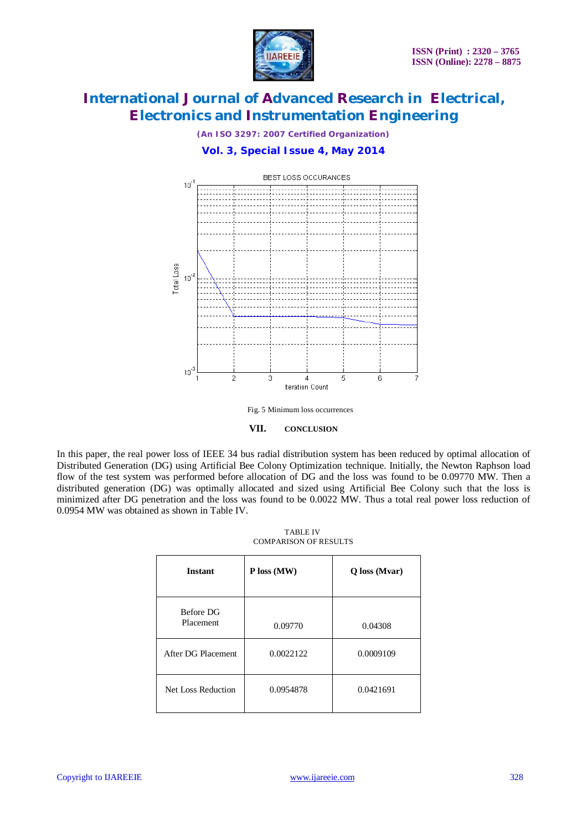

*(An ISO 3297: 2007 Certified Organization)*

### **Vol. 3, Special Issue 4, May 2014**



Fig. 5 Minimum loss occurrences



In this paper, the real power loss of IEEE 34 bus radial distribution system has been reduced by optimal allocation of Distributed Generation (DG) using Artificial Bee Colony Optimization technique. Initially, the Newton Raphson load flow of the test system was performed before allocation of DG and the loss was found to be 0.09770 MW. Then a distributed generation (DG) was optimally allocated and sized using Artificial Bee Colony such that the loss is minimized after DG penetration and the loss was found to be 0.0022 MW. Thus a total real power loss reduction of 0.0954 MW was obtained as shown in Table IV.

| <b>TABLE IV</b>              |  |  |
|------------------------------|--|--|
| <b>COMPARISON OF RESULTS</b> |  |  |

| <b>Instant</b>         | P loss (MW) | Q loss (Mvar) |
|------------------------|-------------|---------------|
| Before DG<br>Placement | 0.09770     | 0.04308       |
| After DG Placement     | 0.0022122   | 0.0009109     |
| Net Loss Reduction     | 0.0954878   | 0.0421691     |